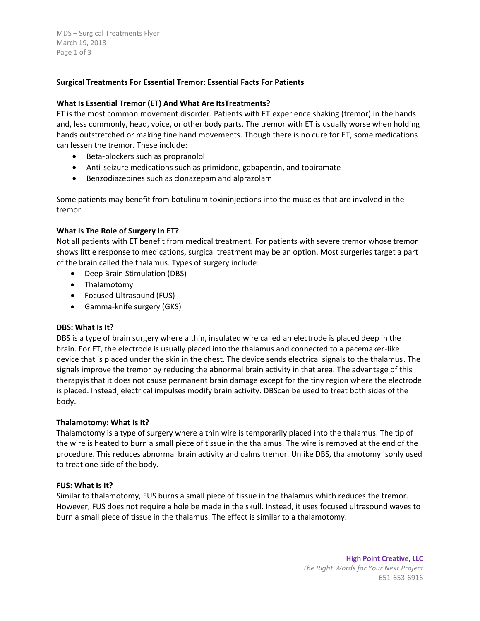MDS – Surgical Treatments Flyer March 19, 2018 Page 1 of 3

# **Surgical Treatments For Essential Tremor: Essential Facts For Patients**

## **What Is Essential Tremor (ET) And What Are ItsTreatments?**

ET is the most common movement disorder. Patients with ET experience shaking (tremor) in the hands and, less commonly, head, voice, or other body parts. The tremor with ET is usually worse when holding hands outstretched or making fine hand movements. Though there is no cure for ET, some medications can lessen the tremor. These include:

- Beta-blockers such as propranolol
- Anti-seizure medications such as primidone, gabapentin, and topiramate
- Benzodiazepines such as clonazepam and alprazolam

Some patients may benefit from botulinum toxininjections into the muscles that are involved in the tremor.

## **What Is The Role of Surgery In ET?**

Not all patients with ET benefit from medical treatment. For patients with severe tremor whose tremor shows little response to medications, surgical treatment may be an option. Most surgeries target a part of the brain called the thalamus. Types of surgery include:

- Deep Brain Stimulation (DBS)
- Thalamotomy
- Focused Ultrasound (FUS)
- Gamma-knife surgery (GKS)

#### **DBS: What Is It?**

DBS is a type of brain surgery where a thin, insulated wire called an electrode is placed deep in the brain. For ET, the electrode is usually placed into the thalamus and connected to a pacemaker-like device that is placed under the skin in the chest. The device sends electrical signals to the thalamus. The signals improve the tremor by reducing the abnormal brain activity in that area. The advantage of this therapyis that it does not cause permanent brain damage except for the tiny region where the electrode is placed. Instead, electrical impulses modify brain activity. DBScan be used to treat both sides of the body.

#### **Thalamotomy: What Is It?**

Thalamotomy is a type of surgery where a thin wire is temporarily placed into the thalamus. The tip of the wire is heated to burn a small piece of tissue in the thalamus. The wire is removed at the end of the procedure. This reduces abnormal brain activity and calms tremor. Unlike DBS, thalamotomy isonly used to treat one side of the body.

#### **FUS: What Is It?**

Similar to thalamotomy, FUS burns a small piece of tissue in the thalamus which reduces the tremor. However, FUS does not require a hole be made in the skull. Instead, it uses focused ultrasound waves to burn a small piece of tissue in the thalamus. The effect is similar to a thalamotomy.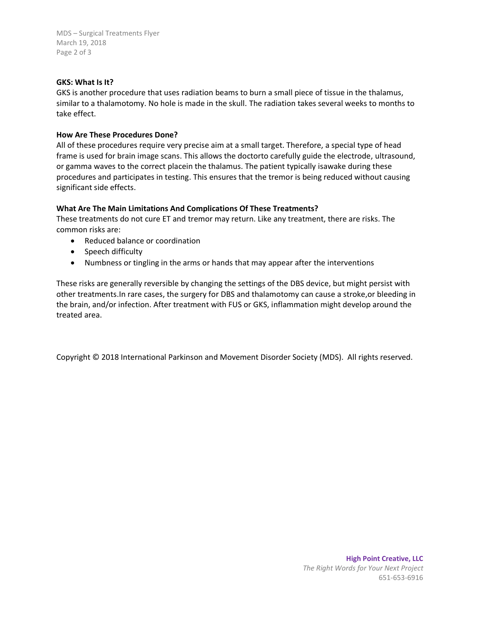MDS – Surgical Treatments Flyer March 19, 2018 Page 2 of 3

### **GKS: What Is It?**

GKS is another procedure that uses radiation beams to burn a small piece of tissue in the thalamus, similar to a thalamotomy. No hole is made in the skull. The radiation takes several weeks to months to take effect.

## **How Are These Procedures Done?**

All of these procedures require very precise aim at a small target. Therefore, a special type of head frame is used for brain image scans. This allows the doctorto carefully guide the electrode, ultrasound, or gamma waves to the correct placein the thalamus. The patient typically isawake during these procedures and participates in testing. This ensures that the tremor is being reduced without causing significant side effects.

# **What Are The Main Limitations And Complications Of These Treatments?**

These treatments do not cure ET and tremor may return. Like any treatment, there are risks. The common risks are:

- Reduced balance or coordination
- Speech difficulty
- Numbness or tingling in the arms or hands that may appear after the interventions

These risks are generally reversible by changing the settings of the DBS device, but might persist with other treatments.In rare cases, the surgery for DBS and thalamotomy can cause a stroke,or bleeding in the brain, and/or infection. After treatment with FUS or GKS, inflammation might develop around the treated area.

Copyright © 2018 International Parkinson and Movement Disorder Society (MDS). All rights reserved.